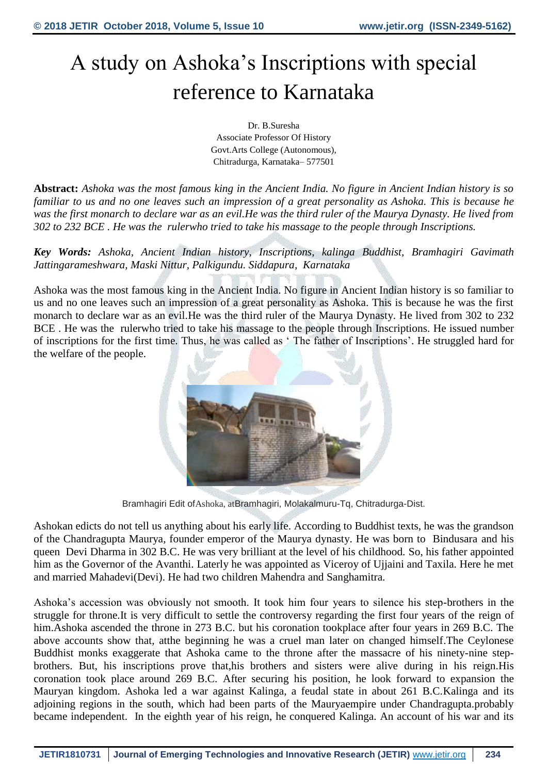# A study on Ashoka's Inscriptions with special reference to Karnataka

Dr. B.Suresha Associate Professor Of History Govt.Arts College (Autonomous), Chitradurga, Karnataka– 577501

**Abstract:** *Ashoka was the most famous king in the Ancient India. No figure in Ancient Indian history is so familiar to us and no one leaves such an impression of a great personality as Ashoka. This is because he was the first monarch to declare war as an evil.He was the third ruler of the Maurya Dynasty. He lived from 302 to 232 BCE . He was the rulerwho tried to take his massage to the people through Inscriptions.*

*Key Words: Ashoka, Ancient Indian history, Inscriptions, kalinga Buddhist, Bramhagiri Gavimath Jattingarameshwara, Maski Nittur, Palkigundu. Siddapura, Karnataka*

Ashoka was the most famous king in the Ancient India. No figure in Ancient Indian history is so familiar to us and no one leaves such an impression of a great personality as Ashoka. This is because he was the first monarch to declare war as an evil.He was the third ruler of the Maurya Dynasty. He lived from 302 to 232 BCE . He was the rulerwho tried to take his massage to the people through Inscriptions. He issued number of inscriptions for the first time. Thus, he was called as ' The father of Inscriptions'. He struggled hard for the welfare of the people.



Bramhagiri Edit ofAshoka, atBramhagiri, Molakalmuru-Tq, Chitradurga-Dist.

Ashokan edicts do not tell us anything about his early life. According to Buddhist texts, he was the grandson of the Chandragupta Maurya, founder emperor of the Maurya dynasty. He was born to Bindusara and his queen Devi Dharma in 302 B.C. He was very brilliant at the level of his childhood. So, his father appointed him as the Governor of the Avanthi. Laterly he was appointed as Viceroy of Ujjaini and Taxila. Here he met and married Mahadevi(Devi). He had two children Mahendra and Sanghamitra.

Ashoka's accession was obviously not smooth. It took him four years to silence his step-brothers in the struggle for throne.It is very difficult to settle the controversy regarding the first four years of the reign of him.Ashoka ascended the throne in 273 B.C. but his coronation tookplace after four years in 269 B.C. The above accounts show that, atthe beginning he was a cruel man later on changed himself.The Ceylonese Buddhist monks exaggerate that Ashoka came to the throne after the massacre of his ninety-nine stepbrothers. But, his inscriptions prove that,his brothers and sisters were alive during in his reign.His coronation took place around 269 B.C. After securing his position, he look forward to expansion the Mauryan kingdom. Ashoka led a war against Kalinga, a feudal state in about 261 B.C.Kalinga and its adjoining regions in the south, which had been parts of the Mauryaempire under Chandragupta.probably became independent. In the eighth year of his reign, he conquered Kalinga. An account of his war and its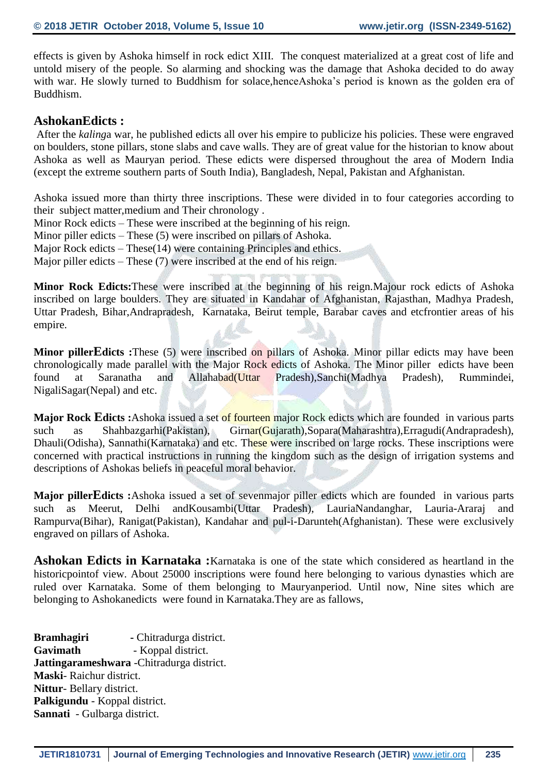effects is given by Ashoka himself in rock edict XIII. The conquest materialized at a great cost of life and untold misery of the people. So alarming and shocking was the damage that Ashoka decided to do away with war. He slowly turned to Buddhism for solace, hence Ashoka's period is known as the golden era of Buddhism.

#### **AshokanEdicts :**

After the *kaling*a war, he published edicts all over his empire to publicize his policies. These were engraved on boulders, stone pillars, stone slabs and cave walls. They are of great value for the historian to know about Ashoka as well as Mauryan period. These edicts were dispersed throughout the area of Modern India (except the extreme southern parts of South India), Bangladesh, Nepal, Pakistan and Afghanistan.

Ashoka issued more than thirty three inscriptions. These were divided in to four categories according to their subject matter,medium and Their chronology .

Minor Rock edicts – These were inscribed at the beginning of his reign.

Minor piller edicts – These (5) were inscribed on pillars of Ashoka.

Major Rock edicts – These(14) were containing Principles and ethics.

Major piller edicts – These (7) were inscribed at the end of his reign.

**Minor Rock Edicts:**These were inscribed at the beginning of his reign.Majour rock edicts of Ashoka inscribed on large boulders. They are situated in Kandahar of Afghanistan, Rajasthan, Madhya Pradesh, Uttar Pradesh, Bihar,Andrapradesh, Karnataka, Beirut temple, Barabar caves and etcfrontier areas of his empire.

**Minor pillerEdicts :**These (5) were inscribed on pillars of Ashoka. Minor pillar edicts may have been chronologically made parallel with the Major Rock edicts of Ashoka. The Minor piller edicts have been found at Saranatha and Allahabad(Uttar Pradesh),Sanchi(Madhya Pradesh), Rummindei, NigaliSagar(Nepal) and etc.

**Major Rock Edicts :**Ashoka issued a set of fourteen major Rock edicts which are founded in various parts such as Shahbazgarhi(Pakistan), Girnar(Gujarath),Sopara(Maharashtra),Erragudi(Andrapradesh), Dhauli(Odisha), Sannathi(Karnataka) and etc. These were inscribed on large rocks. These inscriptions were concerned with practical instructions in running the kingdom such as the design of irrigation systems and descriptions of Ashokas beliefs in peaceful moral behavior.

**Major pillerEdicts :**Ashoka issued a set of sevenmajor piller edicts which are founded in various parts such as Meerut, Delhi andKousambi(Uttar Pradesh), LauriaNandanghar, Lauria-Araraj and Rampurva(Bihar), Ranigat(Pakistan), Kandahar and pul-i-Darunteh(Afghanistan). These were exclusively engraved on pillars of Ashoka.

**Ashokan Edicts in Karnataka :**Karnataka is one of the state which considered as heartland in the historicpointof view. About 25000 inscriptions were found here belonging to various dynasties which are ruled over Karnataka. Some of them belonging to Mauryanperiod. Until now, Nine sites which are belonging to Ashokanedicts were found in Karnataka.They are as fallows,

**Bramhagiri** - Chitradurga district. Gavimath - Koppal district. **Jattingarameshwara** -Chitradurga district. **Maski**- Raichur district. **Nittur**- Bellary district. **Palkigundu** - Koppal district. **Sannati** - Gulbarga district.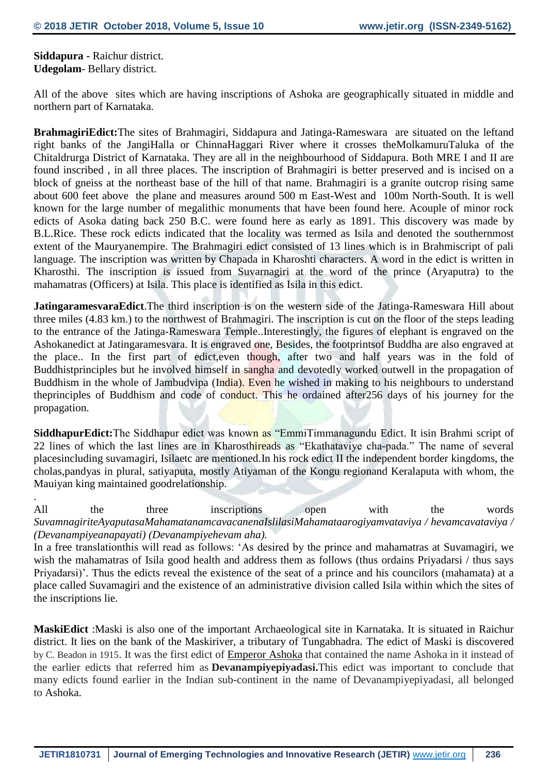**Siddapura** - Raichur district. **Udegolam**- Bellary district.

.

All of the above sites which are having inscriptions of Ashoka are geographically situated in middle and northern part of Karnataka.

**BrahmagiriEdict:**The sites of Brahmagiri, Siddapura and Jatinga-Rameswara are situated on the leftand right banks of the JangiHalla or ChinnaHaggari River where it crosses theMolkamuruTaluka of the Chitaldrurga District of Karnataka. They are all in the neighbourhood of Siddapura. Both MRE I and II are found inscribed , in all three places. The inscription of Brahmagiri is better preserved and is incised on a block of gneiss at the northeast base of the hill of that name. Brahmagiri is a granite outcrop rising same about 600 feet above the plane and measures around 500 m East-West and 100m North-South. It is well known for the large number of megalithic monuments that have been found here. Acouple of minor rock edicts of Asoka dating back 250 B.C. were found here as early as 1891. This discovery was made by B.L.Rice. These rock edicts indicated that the locality was termed as Isila and denoted the southernmost extent of the Mauryanempire. The Brahmagiri edict consisted of 13 lines which is in Brahmiscript of pali language. The inscription was written by Chapada in Kharoshti characters. A word in the edict is written in Kharosthi. The inscription is issued from Suvarnagiri at the word of the prince (Aryaputra) to the mahamatras (Officers) at Isila. This place is identified as Isila in this edict.

**JatingaramesvaraEdict**.The third inscription is on the western side of the Jatinga-Rameswara Hill about three miles (4.83 km.) to the northwest of Brahmagiri. The inscription is cut on the floor of the steps leading to the entrance of the Jatinga-Rameswara Temple..Interestingly, the figures of elephant is engraved on the Ashokanedict at Jatingaramesvara. It is engraved one, Besides, the footprintsof Buddha are also engraved at the place.. In the first part of edict,even though, after two and half years was in the fold of Buddhistprinciples but he involved himself in sangha and devotedly worked outwell in the propagation of Buddhism in the whole of Jambudvipa (India). Even he wished in making to his neighbours to understand theprinciples of Buddhism and code of conduct. This he ordained after256 days of his journey for the propagation.

**SiddhapurEdict:**The Siddhapur edict was known as "EmmiTimmanagundu Edict. It isin Brahmi script of 22 lines of which the last lines are in Kharosthireads as "Ekathataviye cha-pada." The name of several placesincluding suvamagiri, Isilaetc are mentioned.In his rock edict II the independent border kingdoms, the cholas,pandyas in plural, satiyaputa, mostly Atiyaman of the Kongu regionand Keralaputa with whom, the Mauiyan king maintained goodrelationship.

All the three inscriptions open with the words *SuvamnagiriteAyaputasaMahamatanamcavacanenaIslilasiMahamataarogiyamvataviya / hevamcavataviya / (Devanampiyeanapayati) (Devanampiyehevam aha).*

In a free translationthis will read as follows: 'As desired by the prince and mahamatras at Suvamagiri, we wish the mahamatras of Isila good health and address them as follows (thus ordains Priyadarsi / thus says Priyadarsi)'. Thus the edicts reveal the existence of the seat of a prince and his councilors (mahamata) at a place called Suvamagiri and the existence of an administrative division called Isila within which the sites of the inscriptions lie.

**MaskiEdict** :Maski is also one of the important Archaeological site in Karnataka. It is situated in Raichur district. It lies on the bank of the Maskiriver, a tributary of Tungabhadra. The edict of Maski is discovered by C. Beadon in 1915. It was the first edict of [Emperor Ashoka](https://en.wikipedia.org/wiki/Emperor_Ashoka) that contained the name Ashoka in it instead of the earlier edicts that referred him as **Devanampiyepiyadasi.**This edict was important to conclude that many edicts found earlier in the Indian sub-continent in the name of Devanampiyepiyadasi, all belonged to Ashoka.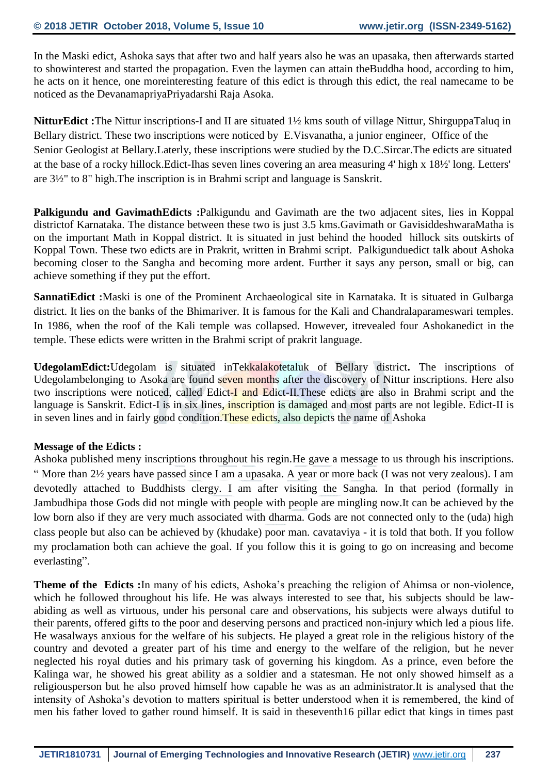In the Maski edict, Ashoka says that after two and half years also he was an upasaka, then afterwards started to showinterest and started the propagation. Even the laymen can attain theBuddha hood, according to him, he acts on it hence, one moreinteresting feature of this edict is through this edict, the real namecame to be noticed as the DevanamapriyaPriyadarshi Raja Asoka.

**NitturEdict :**The Nittur inscriptions-I and II are situated 1½ kms south of village Nittur, ShirguppaTaluq in Bellary district. These two inscriptions were noticed by E.Visvanatha, a junior engineer, Office of the Senior Geologist at Bellary.Laterly, these inscriptions were studied by the D.C.Sircar.The edicts are situated at the base of a rocky hillock.Edict-Ihas seven lines covering an area measuring 4' high x 18½' long. Letters' are 3½" to 8" high.The inscription is in Brahmi script and language is Sanskrit.

**Palkigundu and GavimathEdicts :**Palkigundu and Gavimath are the two adjacent sites, lies in Koppal districtof Karnataka. The distance between these two is just 3.5 kms.Gavimath or GavisiddeshwaraMatha is on the important Math in Koppal district. It is situated in just behind the hooded hillock sits outskirts of Koppal Town. These two edicts are in Prakrit, written in Brahmi script. Palkigunduedict talk about Ashoka becoming closer to the Sangha and becoming more ardent. Further it says any person, small or big, can achieve something if they put the effort.

**SannatiEdict :**Maski is one of the Prominent Archaeological site in Karnataka. It is situated in Gulbarga district. It lies on the banks of the Bhimariver. It is famous for the Kali and Chandralaparameswari temples. In 1986, when the roof of the Kali temple was collapsed. However, itrevealed four Ashokanedict in the temple. These edicts were written in the Brahmi script of prakrit language.

**UdegolamEdict:**Udegolam is situated inTekkalakotetaluk of Bellary district**.** The inscriptions of Udegolambelonging to Asoka are found seven months after the discovery of Nittur inscriptions. Here also two inscriptions were noticed, called Edict-I and Edict-II. These edicts are also in Brahmi script and the language is Sanskrit. Edict-I is in six lines, inscription is damaged and most parts are not legible. Edict-II is in seven lines and in fairly good condition. These edicts, also depicts the name of Ashoka

#### **Message of the Edicts :**

Ashoka published meny inscriptions throughout his regin.He gave a message to us through his inscriptions. " More than 2½ years have passed since I am a upasaka. A year or more back (I was not very zealous). I am devotedly attached to Buddhists clergy. I am after visiting the Sangha. In that period (formally in Jambudhipa those Gods did not mingle with people with people are mingling now.It can be achieved by the low born also if they are very much associated with dharma. Gods are not connected only to the (uda) high class people but also can be achieved by (khudake) poor man. cavataviya - it is told that both. If you follow my proclamation both can achieve the goal. If you follow this it is going to go on increasing and become everlasting".

**Theme of the Edicts :**In many of his edicts, Ashoka's preaching the religion of Ahimsa or non-violence, which he followed throughout his life. He was always interested to see that, his subjects should be lawabiding as well as virtuous, under his personal care and observations, his subjects were always dutiful to their parents, offered gifts to the poor and deserving persons and practiced non-injury which led a pious life. He wasalways anxious for the welfare of his subjects. He played a great role in the religious history of the country and devoted a greater part of his time and energy to the welfare of the religion, but he never neglected his royal duties and his primary task of governing his kingdom. As a prince, even before the Kalinga war, he showed his great ability as a soldier and a statesman. He not only showed himself as a religiousperson but he also proved himself how capable he was as an administrator.It is analysed that the intensity of Ashoka's devotion to matters spiritual is better understood when it is remembered, the kind of men his father loved to gather round himself. It is said in theseventh16 pillar edict that kings in times past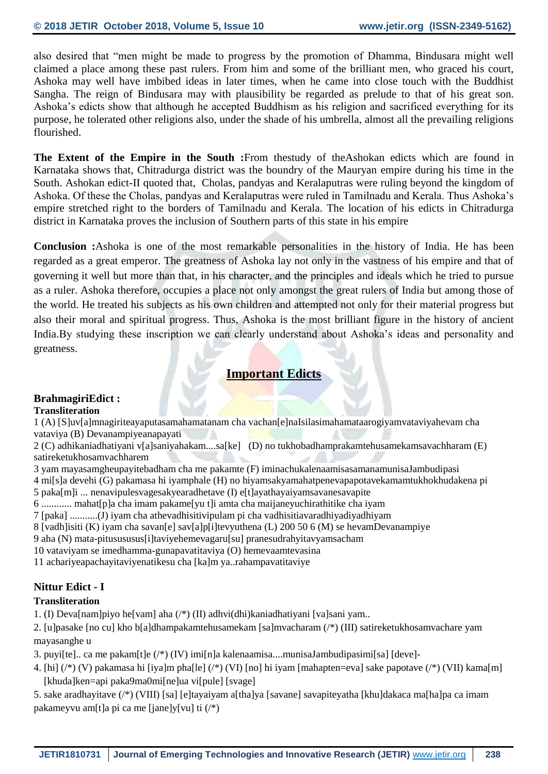also desired that "men might be made to progress by the promotion of Dhamma, Bindusara might well claimed a place among these past rulers. From him and some of the brilliant men, who graced his court, Ashoka may well have imbibed ideas in later times, when he came into close touch with the Buddhist Sangha. The reign of Bindusara may with plausibility be regarded as prelude to that of his great son. Ashoka's edicts show that although he accepted Buddhism as his religion and sacrificed everything for its purpose, he tolerated other religions also, under the shade of his umbrella, almost all the prevailing religions flourished.

**The Extent of the Empire in the South :**From thestudy of theAshokan edicts which are found in Karnataka shows that, Chitradurga district was the boundry of the Mauryan empire during his time in the South. Ashokan edict-II quoted that, Cholas, pandyas and Keralaputras were ruling beyond the kingdom of Ashoka. Of these the Cholas, pandyas and Keralaputras were ruled in Tamilnadu and Kerala. Thus Ashoka's empire stretched right to the borders of Tamilnadu and Kerala. The location of his edicts in Chitradurga district in Karnataka proves the inclusion of Southern parts of this state in his empire

**Conclusion :**Ashoka is one of the most remarkable personalities in the history of India. He has been regarded as a great emperor. The greatness of Ashoka lay not only in the vastness of his empire and that of governing it well but more than that, in his character, and the principles and ideals which he tried to pursue as a ruler. Ashoka therefore, occupies a place not only amongst the great rulers of India but among those of the world. He treated his subjects as his own children and attempted not only for their material progress but also their moral and spiritual progress. Thus, Ashoka is the most brilliant figure in the history of ancient India.By studying these inscription we can clearly understand about Ashoka's ideas and personality and greatness.

#### **Important Edicts**

#### **BrahmagiriEdict : Transliteration**

1 (A) [S]uv[a]mnagiriteayaputasamahamatanam cha vachan[e]naIsilasimahamataarogiyamvataviyahevam cha vataviya (B) Devanampiyeanapayati

2 (C) adhikaniadhatiyani v[a]saniyahakam....sa[ke] (D) no tukhobadhamprakamtehusamekamsavachharam (E) satireketukhosamvachharem

- 3 yam mayasamgheupayitebadham cha me pakamte (F) iminachukalenaamisasamanamunisaJambudipasi
- 4 mi[s]a devehi (G) pakamasa hi iyamphale (H) no hiyamsakyamahatpenevapapotavekamamtukhokhudakena pi
- 5 paka[m]i ... nenavipulesvagesakyearadhetave (I) e[t]ayathayaiyamsavanesavapite
- 6 ............ mahat[p]a cha imam pakame[yu t]i amta cha maijaneyuchirathitike cha iyam
- 7 [paka] ...........(J) iyam cha athevadhisitivipulam pi cha vadhisitiavaradhiyadiyadhiyam
- 8 [vadh]isiti (K) iyam cha savan[e] sav[a]p[i]tevyuthena (L) 200 50 6 (M) se hevamDevanampiye
- 9 aha (N) mata-pitusususus[i]taviyehemevagaru[su] pranesudrahyitavyamsacham
- 10 vataviyam se imedhamma-gunapavatitaviya (O) hemevaamtevasina

11 achariyeapachayitaviyenatikesu cha [ka]m ya..rahampavatitaviye

#### **Nittur Edict - I**

#### **Transliteration**

1. (I) Deva[nam]piyo he[vam] aha (/\*) (II) adhvi(dhi)kaniadhatiyani [va]sani yam..

2. [u]pasake [no cu] kho b[a]dhampakamtehusamekam [sa]mvacharam (/\*) (III) satireketukhosamvachare yam mayasanghe u

- 3. puyi[te].. ca me pakam[t]e (/\*) (IV) imi[n]a kalenaamisa....munisaJambudipasimi[sa] [deve]-
- 4. [hi] (/\*) (V) pakamasa hi [iya]m pha[le] (/\*) (VI) [no] hi iyam [mahapten=eva] sake papotave (/\*) (VII) kama[m] [khuda]ken=api paka9ma0mi[ne]ua vi[pule] [svage]

5. sake aradhayitave (/\*) (VIII) [sa] [e]tayaiyam a[tha]ya [savane] savapiteyatha [khu]dakaca ma[ha]pa ca imam pakameyvu am[t]a pi ca me [jane]y[vu] ti (/\*)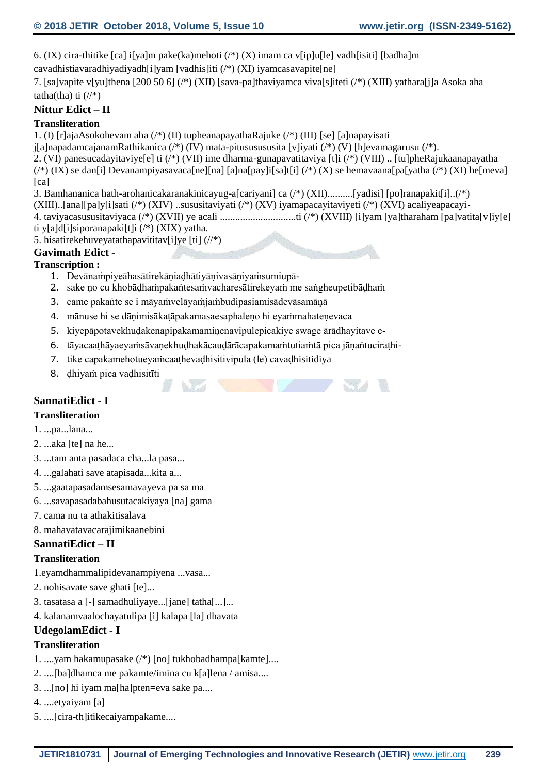6. (IX) cira-thitike [ca] i[ya]m pake(ka)mehoti (/\*) (X) imam ca v[ip]u[le] vadh[isiti] [badha]m cavadhistiavaradhiyadiyadh[i]yam [vadhis]iti (/\*) (XI) iyamcasavapite[ne]

7. [sa]vapite v[yu]thena [200 50 6] (/\*) (XII) [sava-pa]thaviyamca viva[s]iteti (/\*) (XIII) yathara[j]a Asoka aha tatha(tha) ti  $\left(\frac{1}{*}\right)$ 

#### **Nittur Edict – II**

#### **Transliteration**

1. (I) [r]ajaAsokohevam aha (/\*) (II) tupheanapayathaRajuke (/\*) (III) [se] [a]napayisati

j[a]napadamcajanamRathikanica (/\*) (IV) mata-pitususususita [v]iyati (/\*) (V) [h]evamagarusu (/\*).

2. (VI) panesucadayitaviye[e] ti (/\*) (VII) ime dharma-gunapavatitaviya [t]i (/\*) (VIII) .. [tu]pheRajukaanapayatha

(/\*) (IX) se dan[i] Devanampiyasavaca[ne][na] [a]na[pay]i[sa]t[i] (/\*) (X) se hemavaana[pa[yatha (/\*) (XI) he[meva] [ca]

#### 3. Bamhananica hath-arohanicakaranakinicayug-a[cariyani] ca (/\*) (XII)..........[yadisi] [po]ranapakit[i]..(/\*)

(XIII)..[ana][pa]y[i]sati (/\*) (XIV) ..sususitaviyati (/\*) (XV) iyamapacayitaviyeti (/\*) (XVI) acaliyeapacayi-

4. taviyacasususitaviyaca (/\*) (XVII) ye acali ..............................ti (/\*) (XVIII) [i]yam [ya]tharaham [pa]vatita[v]iy[e]

37. U

- ti y[a]d[i]siporanapaki[t]i (/\*) (XIX) yatha.
- 5. hisatirekehuveyatathapavititav[i]ye [ti] (//\*)

## **Gavimath Edict -**

## **Transcription :**

- 1. Devānaṁpiyeāhasātirekāṇiaḍhātiyāṇivasāṇiyaṁsumiupā-
- 2. sake ṇo cu khobāḍhaṁpakaṅtesaṁvacharesātirekeyaṁ me saṅgheupetibāḍhaṁ
- 3. came pakaṅte se i māyaṁvelāyaṁjaṁbudipasiamisādevāsamāṇā
- 4. mānuse hi se dāṇimisākaṭāpakamasaesaphaleṇo hi eyaṁmahateṇevaca
- 5. kiyepāpotavekhuḍakenapipakamamiṇenavipulepicakiye swage ārādhayitave e-
- 6. tāyacaaṭhāyaeyaṁsāvaṇekhuḍhakācauḍārācapakamaṁtutiaṁtā pica jāṇaṅtuciraṭhi-
- 7. tike capakamehotueyaṁcaaṭhevaḍhisitivipula (le) cavaḍhisitidiya
- 8. ḍhiyaṁ pica vaḍhisitīti

## **SannatiEdict - I**

## **Transliteration**

1. ...pa...lana...

- 2. ...aka [te] na he...
- 3. ...tam anta pasadaca cha...la pasa...
- 4. ...galahati save atapisada...kita a...
- 5. ...gaatapasadamsesamavayeva pa sa ma
- 6. ...savapasadabahusutacakiyaya [na] gama
- 7. cama nu ta athakitisalava
- 8. mahavatavacarajimikaanebini

## **SannatiEdict – II**

## **Transliteration**

1.eyamdhammalipidevanampiyena ...vasa...

- 2. nohisavate save ghati [te]...
- 3. tasatasa a [-] samadhuliyaye...[jane] tatha[...]...
- 4. kalanamvaalochayatulipa [i] kalapa [la] dhavata

## **UdegolamEdict - I**

## **Transliteration**

- 1. ....yam hakamupasake (/\*) [no] tukhobadhampa[kamte]....
- 2. ....[ba]dhamca me pakamte/imina cu k[a]lena / amisa....
- 3. ...[no] hi iyam ma[ha]pten=eva sake pa....
- 4. ....etyaiyam [a]
- 5. ....[cira-th]itikecaiyampakame....